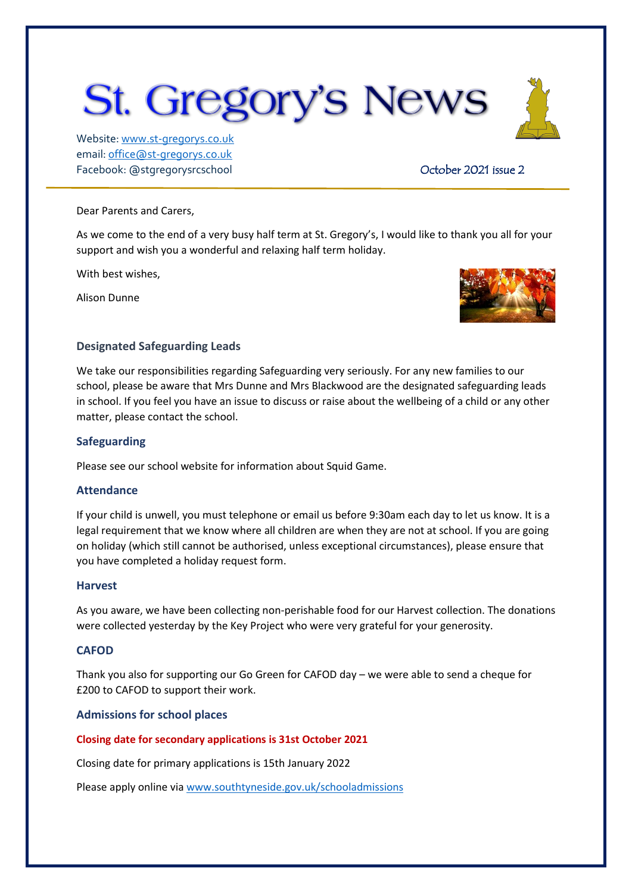# **St. Gregory's News**

Website[: www.st-gregorys.co.uk](http://www.st-gregorys.co.uk/) email[: office@st-gregorys.co.uk](mailto:office@st-gregorys.co.uk) Facebook: @stgregorysrcschool **Department Controller Controller Controller Controller 2021** issue 2

#### Dear Parents and Carers,

As we come to the end of a very busy half term at St. Gregory's, I would like to thank you all for your support and wish you a wonderful and relaxing half term holiday.

With best wishes,

Alison Dunne



## **Designated Safeguarding Leads**

We take our responsibilities regarding Safeguarding very seriously. For any new families to our school, please be aware that Mrs Dunne and Mrs Blackwood are the designated safeguarding leads in school. If you feel you have an issue to discuss or raise about the wellbeing of a child or any other matter, please contact the school.

## **Safeguarding**

Please see our school website for information about Squid Game.

## **Attendance**

If your child is unwell, you must telephone or email us before 9:30am each day to let us know. It is a legal requirement that we know where all children are when they are not at school. If you are going on holiday (which still cannot be authorised, unless exceptional circumstances), please ensure that you have completed a holiday request form.

## **Harvest**

As you aware, we have been collecting non-perishable food for our Harvest collection. The donations were collected yesterday by the Key Project who were very grateful for your generosity.

## **CAFOD**

Thank you also for supporting our Go Green for CAFOD day – we were able to send a cheque for £200 to CAFOD to support their work.

## **Admissions for school places**

## **Closing date for secondary applications is 31st October 2021**

Closing date for primary applications is 15th January 2022

Please apply online vi[a www.southtyneside.gov.uk/schooladmissions](http://www.southtyneside.gov.uk/schooladmissions)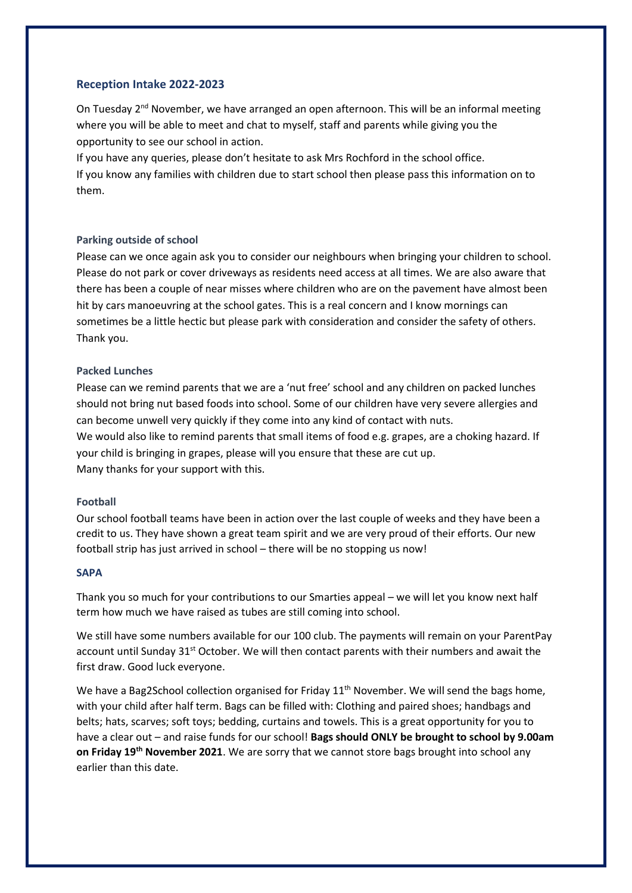## **Reception Intake 2022-2023**

On Tuesday 2<sup>nd</sup> November, we have arranged an open afternoon. This will be an informal meeting where you will be able to meet and chat to myself, staff and parents while giving you the opportunity to see our school in action.

If you have any queries, please don't hesitate to ask Mrs Rochford in the school office. If you know any families with children due to start school then please pass this information on to them.

#### **Parking outside of school**

Please can we once again ask you to consider our neighbours when bringing your children to school. Please do not park or cover driveways as residents need access at all times. We are also aware that there has been a couple of near misses where children who are on the pavement have almost been hit by cars manoeuvring at the school gates. This is a real concern and I know mornings can sometimes be a little hectic but please park with consideration and consider the safety of others. Thank you.

#### **Packed Lunches**

Please can we remind parents that we are a 'nut free' school and any children on packed lunches should not bring nut based foods into school. Some of our children have very severe allergies and can become unwell very quickly if they come into any kind of contact with nuts. We would also like to remind parents that small items of food e.g. grapes, are a choking hazard. If your child is bringing in grapes, please will you ensure that these are cut up. Many thanks for your support with this.

#### **Football**

Our school football teams have been in action over the last couple of weeks and they have been a credit to us. They have shown a great team spirit and we are very proud of their efforts. Our new football strip has just arrived in school – there will be no stopping us now!

#### **SAPA**

Thank you so much for your contributions to our Smarties appeal – we will let you know next half term how much we have raised as tubes are still coming into school.

We still have some numbers available for our 100 club. The payments will remain on your ParentPay account until Sunday  $31<sup>st</sup>$  October. We will then contact parents with their numbers and await the first draw. Good luck everyone.

We have a Bag2School collection organised for Friday  $11^{th}$  November. We will send the bags home, with your child after half term. Bags can be filled with: Clothing and paired shoes; handbags and belts; hats, scarves; soft toys; bedding, curtains and towels. This is a great opportunity for you to have a clear out – and raise funds for our school! **Bags should ONLY be brought to school by 9.00am on Friday 19th November 2021**. We are sorry that we cannot store bags brought into school any earlier than this date.